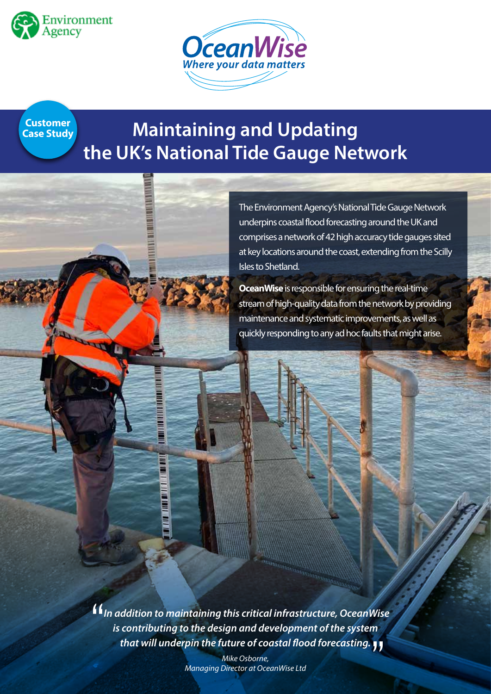



**Customer Case Study**

**Service Re** 

# **Maintaining and Updating the UK's National Tide Gauge Network**

The Environment Agency's National Tide Gauge Network underpins coastal flood forecasting around the UK and comprises a network of 42 high accuracy tide gauges sited at key locations around the coast, extending from the Scilly Isles to Shetland.

**OceanWise** is responsible for ensuring the real-time stream of high-quality data from the network by providing maintenance and systematic improvements, as well as quickly responding to any ad hoc faults that might arise.

*In addition to maintaining this critical infrastructure, OceanWise is contributing to the design and development of the system that will underpin the future of coastal flood forecasting.* ''''

> *Mike Osborne, Managing Director at OceanWise Ltd*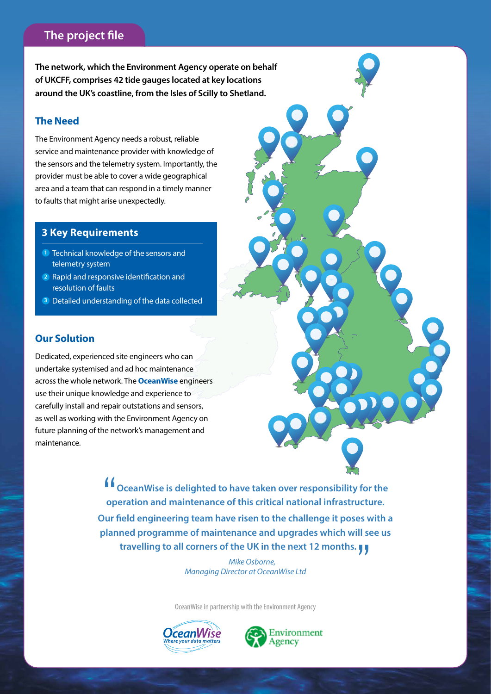# **The project file**

**The network, which the Environment Agency operate on behalf of UKCFF, comprises 42 tide gauges located at key locations around the UK's coastline, from the Isles of Scilly to Shetland.**

## **The Need**

The Environment Agency needs a robust, reliable service and maintenance provider with knowledge of the sensors and the telemetry system. Importantly, the provider must be able to cover a wide geographical area and a team that can respond in a timely manner to faults that might arise unexpectedly.

## **3 Key Requirements**

- **1** Technical knowledge of the sensors and telemetry system
- 2 Rapid and responsive identification and resolution of faults
- Detailed understanding of the data collected **3**

# **Our Solution**

Dedicated, experienced site engineers who can undertake systemised and ad hoc maintenance across the whole network. The **OceanWise** engineers use their unique knowledge and experience to carefully install and repair outstations and sensors, as well as working with the Environment Agency on future planning of the network's management and maintenance.

> **ff**<br>
> op<br>
> op **OceanWise is delighted to have taken over responsibility for the operation and maintenance of this critical national infrastructure. Our field engineering team have risen to the challenge it poses with a planned programme of maintenance and upgrades which will see us**  travelling to all corners of the UK in the next 12 months.  $\blacksquare$

> > *Mike Osborne, Managing Director at OceanWise Ltd*

OceanWise in partnership with the Environment Agency